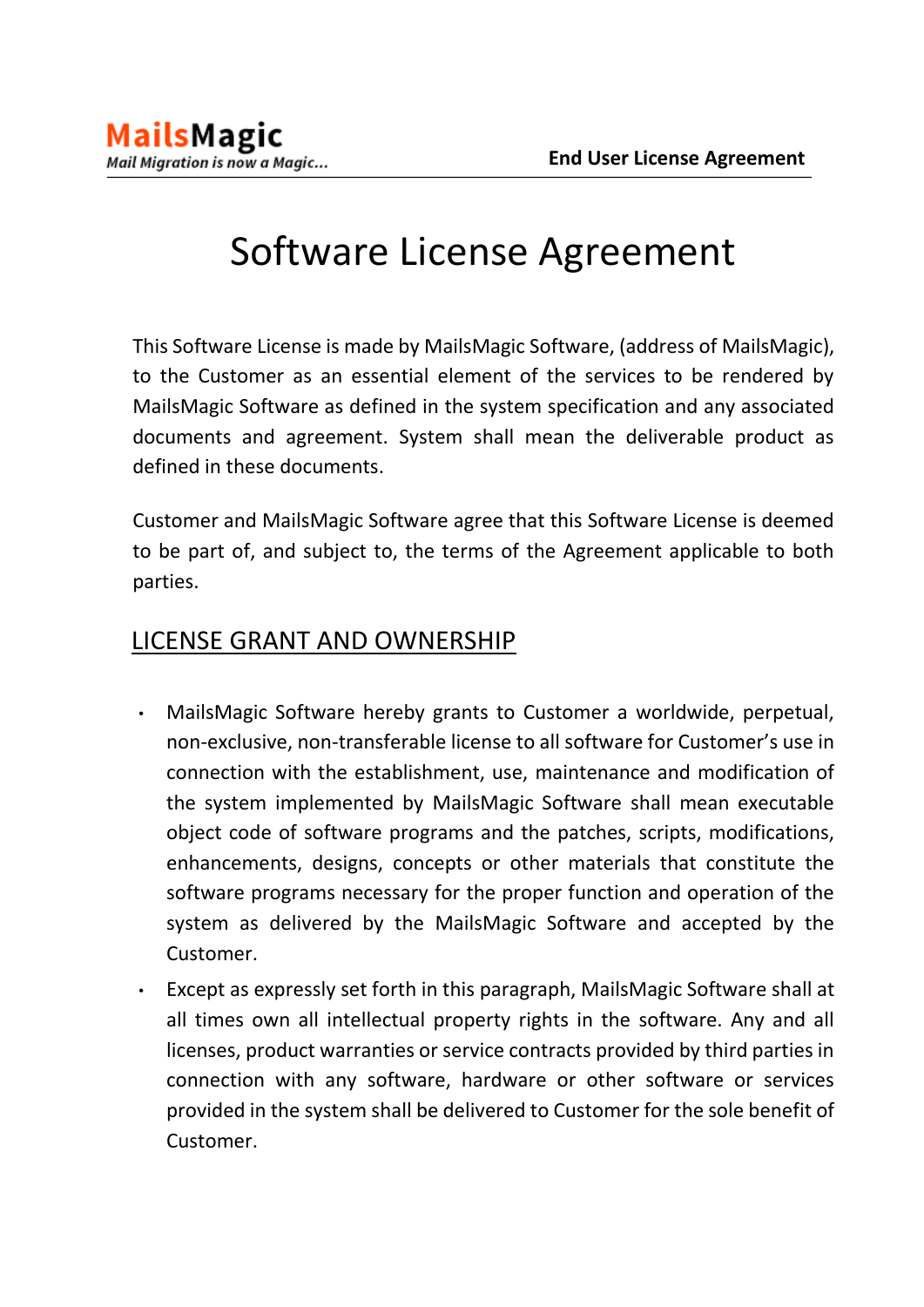# Software License Agreement

This Software License is made by MailsMagic Software, (address of MailsMagic), to the Customer as an essential element of the services to be rendered by MailsMagic Software as defined in the system specification and any associated documents and agreement. System shall mean the deliverable product as defined in these documents.

Customer and MailsMagic Software agree that this Software License is deemed to be part of, and subject to, the terms of the Agreement applicable to both parties.

#### LICENSE GRANT AND OWNERSHIP

- MailsMagic Software hereby grants to Customer a worldwide, perpetual, non-exclusive, non-transferable license to all software for Customer's use in connection with the establishment, use, maintenance and modification of the system implemented by MailsMagic Software shall mean executable object code of software programs and the patches, scripts, modifications, enhancements, designs, concepts or other materials that constitute the software programs necessary for the proper function and operation of the system as delivered by the MailsMagic Software and accepted by the Customer.
- Except as expressly set forth in this paragraph, MailsMagic Software shall at all times own all intellectual property rights in the software. Any and all licenses, product warranties or service contracts provided by third parties in connection with any software, hardware or other software or services provided in the system shall be delivered to Customer for the sole benefit of Customer.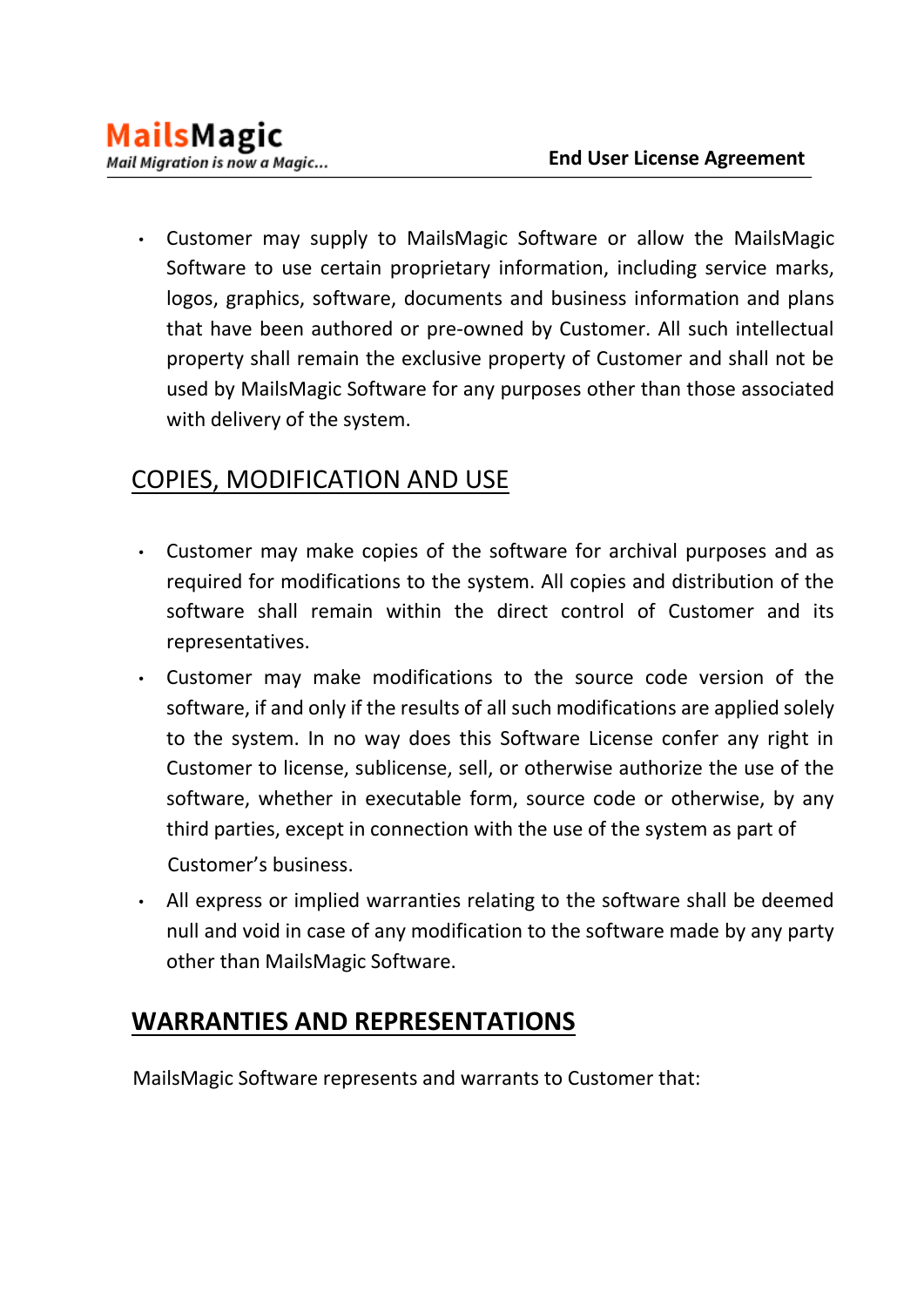• Customer may supply to MailsMagic Software or allow the MailsMagic Software to use certain proprietary information, including service marks, logos, graphics, software, documents and business information and plans that have been authored or pre-owned by Customer. All such intellectual property shall remain the exclusive property of Customer and shall not be used by MailsMagic Software for any purposes other than those associated with delivery of the system.

# COPIES, MODIFICATION AND USE

- Customer may make copies of the software for archival purposes and as required for modifications to the system. All copies and distribution of the software shall remain within the direct control of Customer and its representatives.
- Customer may make modifications to the source code version of the software, if and only if the results of all such modifications are applied solely to the system. In no way does this Software License confer any right in Customer to license, sublicense, sell, or otherwise authorize the use of the software, whether in executable form, source code or otherwise, by any third parties, except in connection with the use of the system as part of Customer's business.
- All express or implied warranties relating to the software shall be deemed null and void in case of any modification to the software made by any party other than MailsMagic Software.

# **WARRANTIES AND REPRESENTATIONS**

MailsMagic Software represents and warrants to Customer that: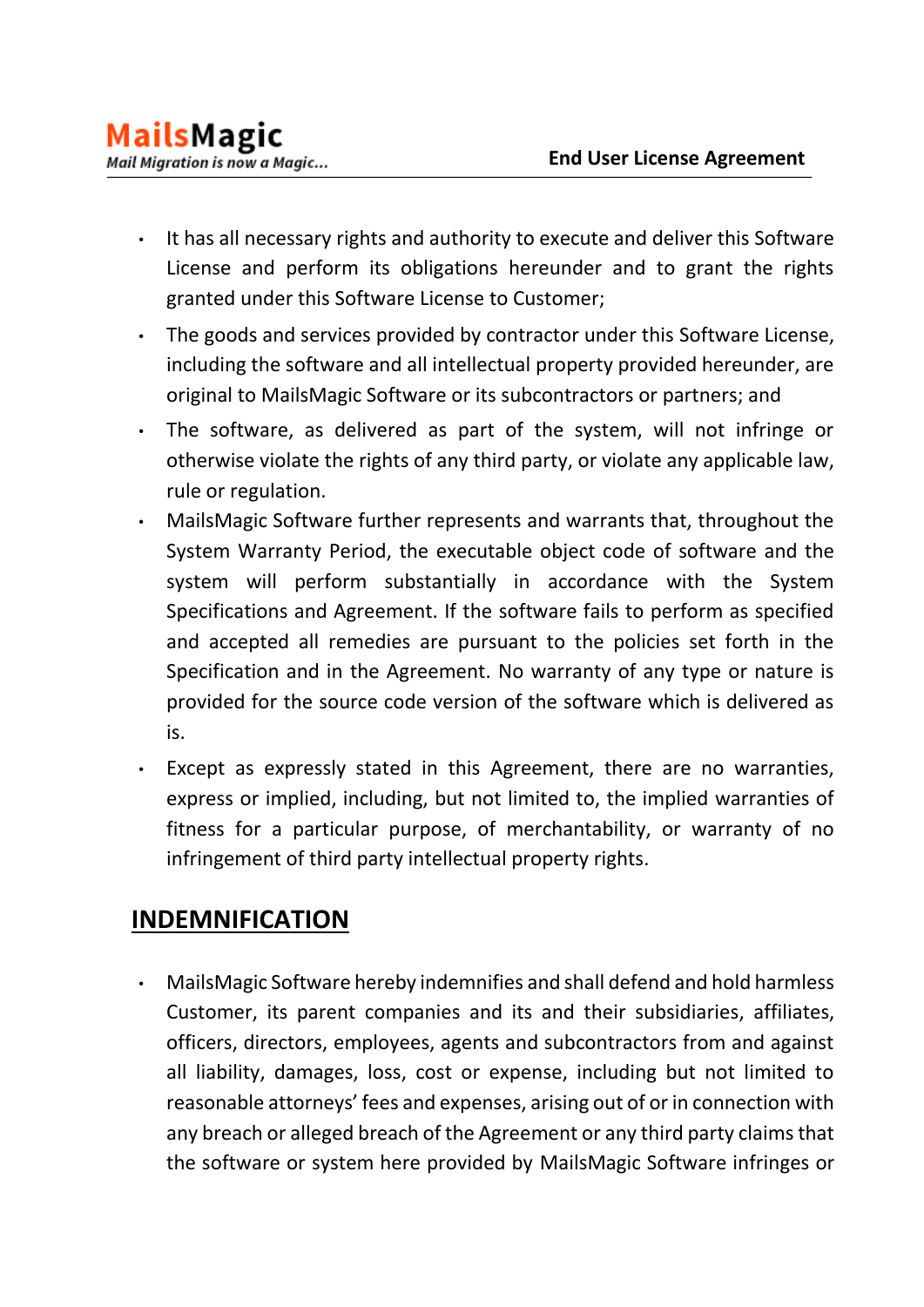- It has all necessary rights and authority to execute and deliver this Software License and perform its obligations hereunder and to grant the rights granted under this Software License to Customer;
- The goods and services provided by contractor under this Software License, including the software and all intellectual property provided hereunder, are original to MailsMagic Software or its subcontractors or partners; and
- The software, as delivered as part of the system, will not infringe or otherwise violate the rights of any third party, or violate any applicable law, rule or regulation.
- MailsMagic Software further represents and warrants that, throughout the System Warranty Period, the executable object code of software and the system will perform substantially in accordance with the System Specifications and Agreement. If the software fails to perform as specified and accepted all remedies are pursuant to the policies set forth in the Specification and in the Agreement. No warranty of any type or nature is provided for the source code version of the software which is delivered as is.
- Except as expressly stated in this Agreement, there are no warranties, express or implied, including, but not limited to, the implied warranties of fitness for a particular purpose, of merchantability, or warranty of no infringement of third party intellectual property rights.

# **INDEMNIFICATION**

• MailsMagic Software hereby indemnifies and shall defend and hold harmless Customer, its parent companies and its and their subsidiaries, affiliates, officers, directors, employees, agents and subcontractors from and against all liability, damages, loss, cost or expense, including but not limited to reasonable attorneys' fees and expenses, arising out of or in connection with any breach or alleged breach of the Agreement or any third party claims that the software or system here provided by MailsMagic Software infringes or